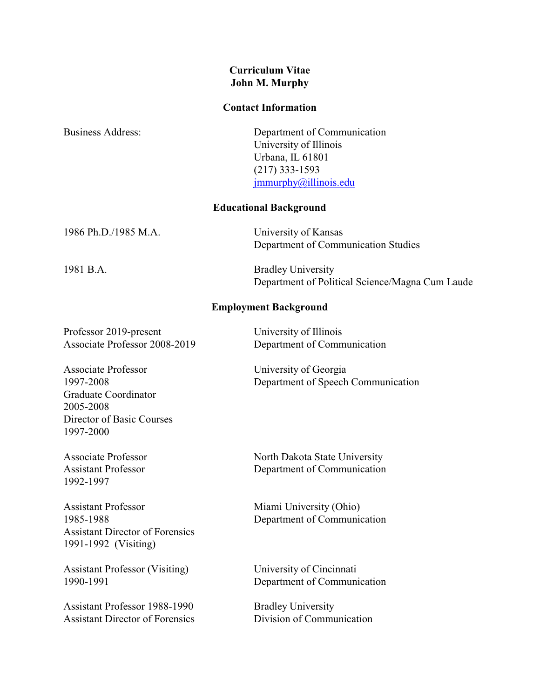# **Curriculum Vitae John M. Murphy**

#### **Contact Information**

| <b>Business Address:</b>                                                            | Department of Communication<br>University of Illinois<br>Urbana, IL 61801<br>$(217)$ 333-1593<br>jmmurphy@illinois.edu |
|-------------------------------------------------------------------------------------|------------------------------------------------------------------------------------------------------------------------|
| <b>Educational Background</b>                                                       |                                                                                                                        |
| 1986 Ph.D./1985 M.A.                                                                | University of Kansas<br>Department of Communication Studies                                                            |
| 1981 B.A.                                                                           | <b>Bradley University</b><br>Department of Political Science/Magna Cum Laude                                           |
| <b>Employment Background</b>                                                        |                                                                                                                        |
| Professor 2019-present<br>Associate Professor 2008-2019                             | University of Illinois<br>Department of Communication                                                                  |
| <b>Associate Professor</b><br>1997-2008<br><b>Graduate Coordinator</b><br>2005-2008 | University of Georgia<br>Department of Speech Communication                                                            |

1992-1997

1997-2000

Director of Basic Courses

Assistant Professor Miami University (Ohio) Assistant Director of Forensics 1991-1992 (Visiting)

Assistant Professor (Visiting) University of Cincinnati<br>1990-1991 Department of Communi

Assistant Professor 1988-1990<br>
Assistant Director of Forensics<br>
Division of Communication Assistant Director of Forensics

Associate Professor North Dakota State University Assistant Professor Department of Communication

1985-1988 Department of Communication

Department of Communication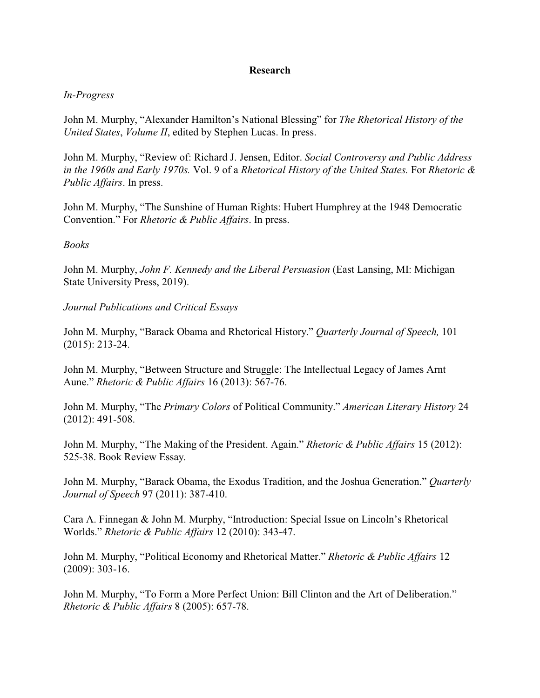### **Research**

### *In-Progress*

John M. Murphy, "Alexander Hamilton's National Blessing" for *The Rhetorical History of the United States*, *Volume II*, edited by Stephen Lucas. In press.

John M. Murphy, "Review of: Richard J. Jensen, Editor. *Social Controversy and Public Address in the 1960s and Early 1970s.* Vol. 9 of a *Rhetorical History of the United States.* For *Rhetoric & Public Affairs*. In press.

John M. Murphy, "The Sunshine of Human Rights: Hubert Humphrey at the 1948 Democratic Convention." For *Rhetoric & Public Affairs*. In press.

#### *Books*

John M. Murphy, *John F. Kennedy and the Liberal Persuasion* (East Lansing, MI: Michigan State University Press, 2019).

*Journal Publications and Critical Essays*

John M. Murphy, "Barack Obama and Rhetorical History." *Quarterly Journal of Speech,* 101 (2015): 213-24.

John M. Murphy, "Between Structure and Struggle: The Intellectual Legacy of James Arnt Aune." *Rhetoric & Public Affairs* 16 (2013): 567-76.

John M. Murphy, "The *Primary Colors* of Political Community." *American Literary History* 24 (2012): 491-508.

John M. Murphy, "The Making of the President. Again." *Rhetoric & Public Affairs* 15 (2012): 525-38. Book Review Essay.

John M. Murphy, "Barack Obama, the Exodus Tradition, and the Joshua Generation." *Quarterly Journal of Speech* 97 (2011): 387-410.

Cara A. Finnegan & John M. Murphy, "Introduction: Special Issue on Lincoln's Rhetorical Worlds." *Rhetoric & Public Affairs* 12 (2010): 343-47.

John M. Murphy, "Political Economy and Rhetorical Matter." *Rhetoric & Public Affairs* 12 (2009): 303-16.

John M. Murphy, "To Form a More Perfect Union: Bill Clinton and the Art of Deliberation." *Rhetoric & Public Affairs* 8 (2005): 657-78.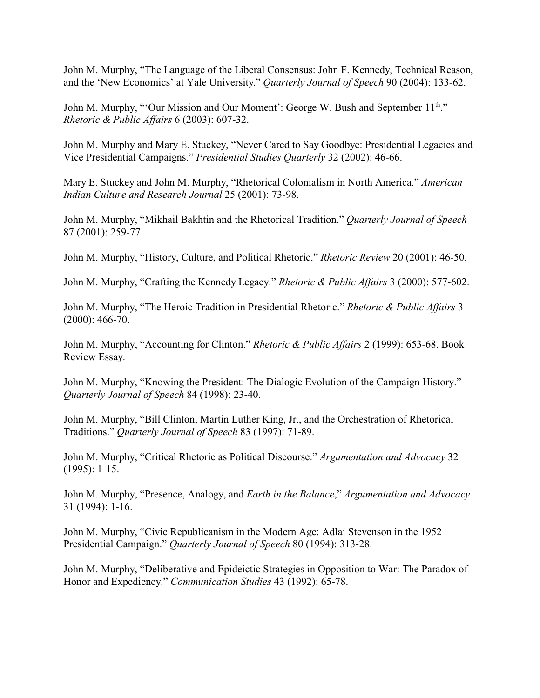John M. Murphy, "The Language of the Liberal Consensus: John F. Kennedy, Technical Reason, and the 'New Economics' at Yale University." *Quarterly Journal of Speech* 90 (2004): 133-62.

John M. Murphy, "'Our Mission and Our Moment': George W. Bush and September 11<sup>th</sup>." *Rhetoric & Public Affairs* 6 (2003): 607-32.

John M. Murphy and Mary E. Stuckey, "Never Cared to Say Goodbye: Presidential Legacies and Vice Presidential Campaigns." *Presidential Studies Quarterly* 32 (2002): 46-66.

Mary E. Stuckey and John M. Murphy, "Rhetorical Colonialism in North America." *American Indian Culture and Research Journal* 25 (2001): 73-98.

John M. Murphy, "Mikhail Bakhtin and the Rhetorical Tradition." *Quarterly Journal of Speech* 87 (2001): 259-77.

John M. Murphy, "History, Culture, and Political Rhetoric." *Rhetoric Review* 20 (2001): 46-50.

John M. Murphy, "Crafting the Kennedy Legacy." *Rhetoric & Public Affairs* 3 (2000): 577-602.

John M. Murphy, "The Heroic Tradition in Presidential Rhetoric." *Rhetoric & Public Affairs* 3 (2000): 466-70.

John M. Murphy, "Accounting for Clinton." *Rhetoric & Public Affairs* 2 (1999): 653-68. Book Review Essay.

John M. Murphy, "Knowing the President: The Dialogic Evolution of the Campaign History." *Quarterly Journal of Speech* 84 (1998): 23-40.

John M. Murphy, "Bill Clinton, Martin Luther King, Jr., and the Orchestration of Rhetorical Traditions." *Quarterly Journal of Speech* 83 (1997): 71-89.

John M. Murphy, "Critical Rhetoric as Political Discourse." *Argumentation and Advocacy* 32 (1995): 1-15.

John M. Murphy, "Presence, Analogy, and *Earth in the Balance*," *Argumentation and Advocacy* 31 (1994): 1-16.

John M. Murphy, "Civic Republicanism in the Modern Age: Adlai Stevenson in the 1952 Presidential Campaign." *Quarterly Journal of Speech* 80 (1994): 313-28.

John M. Murphy, "Deliberative and Epideictic Strategies in Opposition to War: The Paradox of Honor and Expediency." *Communication Studies* 43 (1992): 65-78.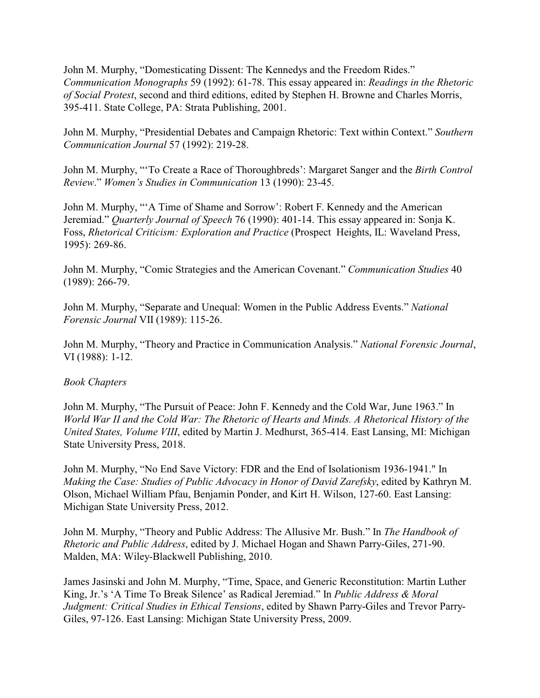John M. Murphy, "Domesticating Dissent: The Kennedys and the Freedom Rides." *Communication Monographs* 59 (1992): 61-78. This essay appeared in: *Readings in the Rhetoric of Social Protest*, second and third editions, edited by Stephen H. Browne and Charles Morris, 395-411. State College, PA: Strata Publishing, 2001.

John M. Murphy, "Presidential Debates and Campaign Rhetoric: Text within Context." *Southern Communication Journal* 57 (1992): 219-28.

John M. Murphy, "'To Create a Race of Thoroughbreds': Margaret Sanger and the *Birth Control Review*." *Women's Studies in Communication* 13 (1990): 23-45.

John M. Murphy, "'A Time of Shame and Sorrow': Robert F. Kennedy and the American Jeremiad." *Quarterly Journal of Speech* 76 (1990): 401-14. This essay appeared in: Sonja K. Foss, *Rhetorical Criticism: Exploration and Practice* (Prospect Heights, IL: Waveland Press, 1995): 269-86.

John M. Murphy, "Comic Strategies and the American Covenant." *Communication Studies* 40 (1989): 266-79.

John M. Murphy, "Separate and Unequal: Women in the Public Address Events." *National Forensic Journal* VII (1989): 115-26.

John M. Murphy, "Theory and Practice in Communication Analysis." *National Forensic Journal*, VI (1988): 1-12.

### *Book Chapters*

John M. Murphy, "The Pursuit of Peace: John F. Kennedy and the Cold War, June 1963." In *World War II and the Cold War: The Rhetoric of Hearts and Minds. A Rhetorical History of the United States, Volume VIII*, edited by Martin J. Medhurst, 365-414. East Lansing, MI: Michigan State University Press, 2018.

John M. Murphy, "No End Save Victory: FDR and the End of Isolationism 1936-1941." In *Making the Case: Studies of Public Advocacy in Honor of David Zarefsky*, edited by Kathryn M. Olson, Michael William Pfau, Benjamin Ponder, and Kirt H. Wilson, 127-60. East Lansing: Michigan State University Press, 2012.

John M. Murphy, "Theory and Public Address: The Allusive Mr. Bush." In *The Handbook of Rhetoric and Public Address*, edited by J. Michael Hogan and Shawn Parry-Giles, 271-90. Malden, MA: Wiley-Blackwell Publishing, 2010.

James Jasinski and John M. Murphy, "Time, Space, and Generic Reconstitution: Martin Luther King, Jr.'s 'A Time To Break Silence' as Radical Jeremiad." In *Public Address & Moral Judgment: Critical Studies in Ethical Tensions*, edited by Shawn Parry-Giles and Trevor Parry-Giles, 97-126. East Lansing: Michigan State University Press, 2009.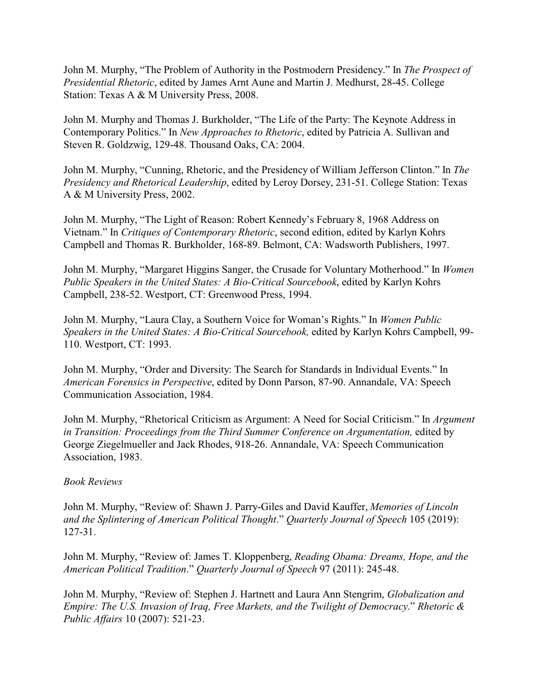John M. Murphy, "The Problem of Authority in the Postmodern Presidency." In *The Prospect of Presidential Rhetoric*, edited by James Arnt Aune and Martin J. Medhurst, 28-45. College Station: Texas A & M University Press, 2008.

John M. Murphy and Thomas J. Burkholder, "The Life of the Party: The Keynote Address in Contemporary Politics." In *New Approaches to Rhetoric*, edited by Patricia A. Sullivan and Steven R. Goldzwig, 129-48. Thousand Oaks, CA: 2004.

John M. Murphy, "Cunning, Rhetoric, and the Presidency of William Jefferson Clinton." In *The Presidency and Rhetorical Leadership*, edited by Leroy Dorsey, 231-51. College Station: Texas A & M University Press, 2002.

John M. Murphy, "The Light of Reason: Robert Kennedy's February 8, 1968 Address on Vietnam." In *Critiques of Contemporary Rhetoric*, second edition, edited by Karlyn Kohrs Campbell and Thomas R. Burkholder, 168-89. Belmont, CA: Wadsworth Publishers, 1997.

John M. Murphy, "Margaret Higgins Sanger, the Crusade for Voluntary Motherhood." In *Women Public Speakers in the United States: A Bio-Critical Sourcebook*, edited by Karlyn Kohrs Campbell, 238-52. Westport, CT: Greenwood Press, 1994.

John M. Murphy, "Laura Clay, a Southern Voice for Woman's Rights." In *Women Public Speakers in the United States: A Bio-Critical Sourcebook,* edited by Karlyn Kohrs Campbell, 99- 110. Westport, CT: 1993.

John M. Murphy, "Order and Diversity: The Search for Standards in Individual Events." In *American Forensics in Perspective*, edited by Donn Parson, 87-90. Annandale, VA: Speech Communication Association, 1984.

John M. Murphy, "Rhetorical Criticism as Argument: A Need for Social Criticism." In *Argument* in Transition: Proceedings from the Third Summer Conference on Argumentation, edited by George Ziegelmueller and Jack Rhodes, 918-26. Annandale, VA: Speech Communication Association, 1983.

### *Book Reviews*

John M. Murphy, "Review of: Shawn J. Parry-Giles and David Kauffer, *Memories of Lincoln and the Splintering of American Political Thought*." *Quarterly Journal of Speech* 105 (2019): 127-31.

John M. Murphy, "Review of: James T. Kloppenberg, *Reading Obama: Dreams, Hope, and the American Political Tradition*." *Quarterly Journal of Speech* 97 (2011): 245-48.

John M. Murphy, "Review of: Stephen J. Hartnett and Laura Ann Stengrim, *Globalization and Empire: The U.S. Invasion of Iraq, Free Markets, and the Twilight of Democracy*." *Rhetoric & Public Affairs* 10 (2007): 521-23.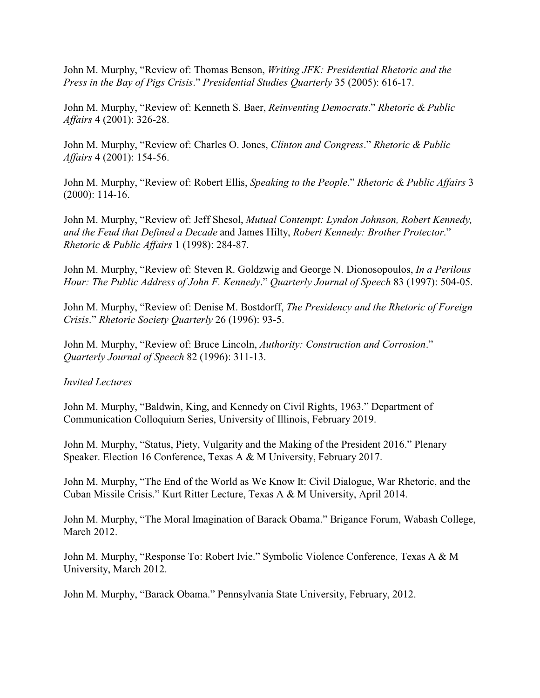John M. Murphy, "Review of: Thomas Benson, *Writing JFK: Presidential Rhetoric and the Press in the Bay of Pigs Crisis*." *Presidential Studies Quarterly* 35 (2005): 616-17.

John M. Murphy, "Review of: Kenneth S. Baer, *Reinventing Democrats*." *Rhetoric & Public Affairs* 4 (2001): 326-28.

John M. Murphy, "Review of: Charles O. Jones, *Clinton and Congress*." *Rhetoric & Public Affairs* 4 (2001): 154-56.

John M. Murphy, "Review of: Robert Ellis, *Speaking to the People*." *Rhetoric & Public Affairs* 3 (2000): 114-16.

John M. Murphy, "Review of: Jeff Shesol, *Mutual Contempt: Lyndon Johnson, Robert Kennedy, and the Feud that Defined a Decade* and James Hilty, *Robert Kennedy: Brother Protector*." *Rhetoric & Public Affairs* 1 (1998): 284-87.

John M. Murphy, "Review of: Steven R. Goldzwig and George N. Dionosopoulos, *In a Perilous Hour: The Public Address of John F. Kennedy*." *Quarterly Journal of Speech* 83 (1997): 504-05.

John M. Murphy, "Review of: Denise M. Bostdorff, *The Presidency and the Rhetoric of Foreign Crisis*." *Rhetoric Society Quarterly* 26 (1996): 93-5.

John M. Murphy, "Review of: Bruce Lincoln, *Authority: Construction and Corrosion*." *Quarterly Journal of Speech* 82 (1996): 311-13.

### *Invited Lectures*

John M. Murphy, "Baldwin, King, and Kennedy on Civil Rights, 1963." Department of Communication Colloquium Series, University of Illinois, February 2019.

John M. Murphy, "Status, Piety, Vulgarity and the Making of the President 2016." Plenary Speaker. Election 16 Conference, Texas A & M University, February 2017.

John M. Murphy, "The End of the World as We Know It: Civil Dialogue, War Rhetoric, and the Cuban Missile Crisis." Kurt Ritter Lecture, Texas A & M University, April 2014.

John M. Murphy, "The Moral Imagination of Barack Obama." Brigance Forum, Wabash College, March 2012.

John M. Murphy, "Response To: Robert Ivie." Symbolic Violence Conference, Texas A & M University, March 2012.

John M. Murphy, "Barack Obama." Pennsylvania State University, February, 2012.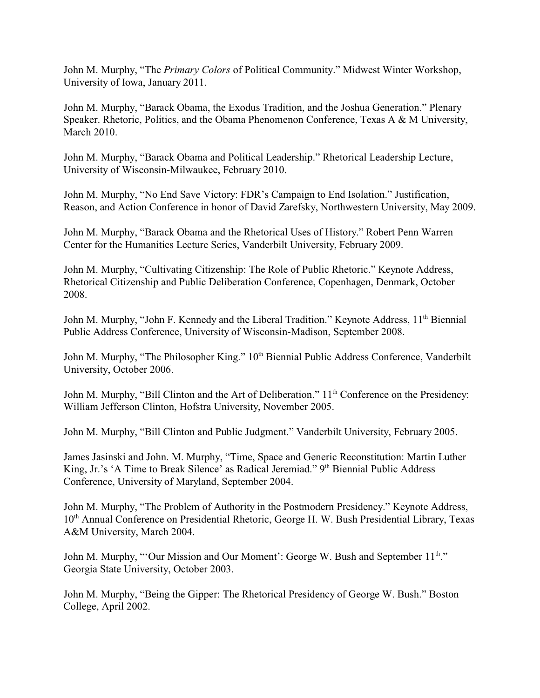John M. Murphy, "The *Primary Colors* of Political Community." Midwest Winter Workshop, University of Iowa, January 2011.

John M. Murphy, "Barack Obama, the Exodus Tradition, and the Joshua Generation." Plenary Speaker. Rhetoric, Politics, and the Obama Phenomenon Conference, Texas A & M University, March 2010.

John M. Murphy, "Barack Obama and Political Leadership." Rhetorical Leadership Lecture, University of Wisconsin-Milwaukee, February 2010.

John M. Murphy, "No End Save Victory: FDR's Campaign to End Isolation." Justification, Reason, and Action Conference in honor of David Zarefsky, Northwestern University, May 2009.

John M. Murphy, "Barack Obama and the Rhetorical Uses of History." Robert Penn Warren Center for the Humanities Lecture Series, Vanderbilt University, February 2009.

John M. Murphy, "Cultivating Citizenship: The Role of Public Rhetoric." Keynote Address, Rhetorical Citizenship and Public Deliberation Conference, Copenhagen, Denmark, October 2008.

John M. Murphy, "John F. Kennedy and the Liberal Tradition." Keynote Address, 11<sup>th</sup> Biennial Public Address Conference, University of Wisconsin-Madison, September 2008.

John M. Murphy, "The Philosopher King." 10<sup>th</sup> Biennial Public Address Conference, Vanderbilt University, October 2006.

John M. Murphy, "Bill Clinton and the Art of Deliberation." 11<sup>th</sup> Conference on the Presidency: William Jefferson Clinton, Hofstra University, November 2005.

John M. Murphy, "Bill Clinton and Public Judgment." Vanderbilt University, February 2005.

James Jasinski and John. M. Murphy, "Time, Space and Generic Reconstitution: Martin Luther King, Jr.'s 'A Time to Break Silence' as Radical Jeremiad." 9th Biennial Public Address Conference, University of Maryland, September 2004.

John M. Murphy, "The Problem of Authority in the Postmodern Presidency." Keynote Address, 10<sup>th</sup> Annual Conference on Presidential Rhetoric, George H. W. Bush Presidential Library, Texas A&M University, March 2004.

John M. Murphy, "'Our Mission and Our Moment': George W. Bush and September 11<sup>th</sup>." Georgia State University, October 2003.

John M. Murphy, "Being the Gipper: The Rhetorical Presidency of George W. Bush." Boston College, April 2002.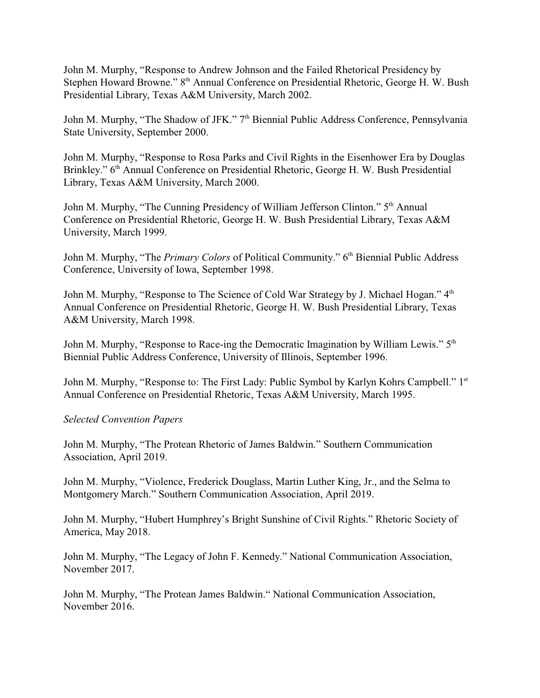John M. Murphy, "Response to Andrew Johnson and the Failed Rhetorical Presidency by Stephen Howard Browne." 8<sup>th</sup> Annual Conference on Presidential Rhetoric, George H. W. Bush Presidential Library, Texas A&M University, March 2002.

John M. Murphy, "The Shadow of JFK." 7<sup>th</sup> Biennial Public Address Conference, Pennsylvania State University, September 2000.

John M. Murphy, "Response to Rosa Parks and Civil Rights in the Eisenhower Era by Douglas Brinkley." 6<sup>th</sup> Annual Conference on Presidential Rhetoric, George H. W. Bush Presidential Library, Texas A&M University, March 2000.

John M. Murphy, "The Cunning Presidency of William Jefferson Clinton." 5<sup>th</sup> Annual Conference on Presidential Rhetoric, George H. W. Bush Presidential Library, Texas A&M University, March 1999.

John M. Murphy, "The *Primary Colors* of Political Community." 6<sup>th</sup> Biennial Public Address Conference, University of Iowa, September 1998.

John M. Murphy, "Response to The Science of Cold War Strategy by J. Michael Hogan." 4<sup>th</sup> Annual Conference on Presidential Rhetoric, George H. W. Bush Presidential Library, Texas A&M University, March 1998.

John M. Murphy, "Response to Race-ing the Democratic Imagination by William Lewis." 5<sup>th</sup> Biennial Public Address Conference, University of Illinois, September 1996.

John M. Murphy, "Response to: The First Lady: Public Symbol by Karlyn Kohrs Campbell." 1st Annual Conference on Presidential Rhetoric, Texas A&M University, March 1995.

### *Selected Convention Papers*

John M. Murphy, "The Protean Rhetoric of James Baldwin." Southern Communication Association, April 2019.

John M. Murphy, "Violence, Frederick Douglass, Martin Luther King, Jr., and the Selma to Montgomery March." Southern Communication Association, April 2019.

John M. Murphy, "Hubert Humphrey's Bright Sunshine of Civil Rights." Rhetoric Society of America, May 2018.

John M. Murphy, "The Legacy of John F. Kennedy." National Communication Association, November 2017.

John M. Murphy, "The Protean James Baldwin." National Communication Association, November 2016.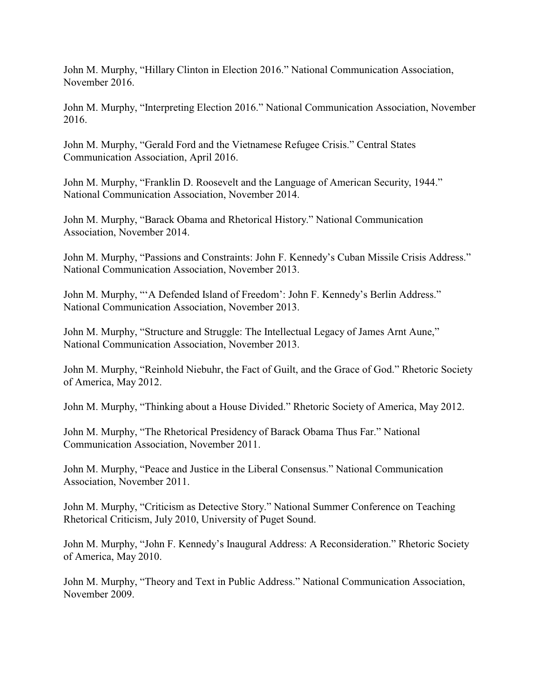John M. Murphy, "Hillary Clinton in Election 2016." National Communication Association, November 2016.

John M. Murphy, "Interpreting Election 2016." National Communication Association, November 2016.

John M. Murphy, "Gerald Ford and the Vietnamese Refugee Crisis." Central States Communication Association, April 2016.

John M. Murphy, "Franklin D. Roosevelt and the Language of American Security, 1944." National Communication Association, November 2014.

John M. Murphy, "Barack Obama and Rhetorical History." National Communication Association, November 2014.

John M. Murphy, "Passions and Constraints: John F. Kennedy's Cuban Missile Crisis Address." National Communication Association, November 2013.

John M. Murphy, "'A Defended Island of Freedom': John F. Kennedy's Berlin Address." National Communication Association, November 2013.

John M. Murphy, "Structure and Struggle: The Intellectual Legacy of James Arnt Aune," National Communication Association, November 2013.

John M. Murphy, "Reinhold Niebuhr, the Fact of Guilt, and the Grace of God." Rhetoric Society of America, May 2012.

John M. Murphy, "Thinking about a House Divided." Rhetoric Society of America, May 2012.

John M. Murphy, "The Rhetorical Presidency of Barack Obama Thus Far." National Communication Association, November 2011.

John M. Murphy, "Peace and Justice in the Liberal Consensus." National Communication Association, November 2011.

John M. Murphy, "Criticism as Detective Story." National Summer Conference on Teaching Rhetorical Criticism, July 2010, University of Puget Sound.

John M. Murphy, "John F. Kennedy's Inaugural Address: A Reconsideration." Rhetoric Society of America, May 2010.

John M. Murphy, "Theory and Text in Public Address." National Communication Association, November 2009.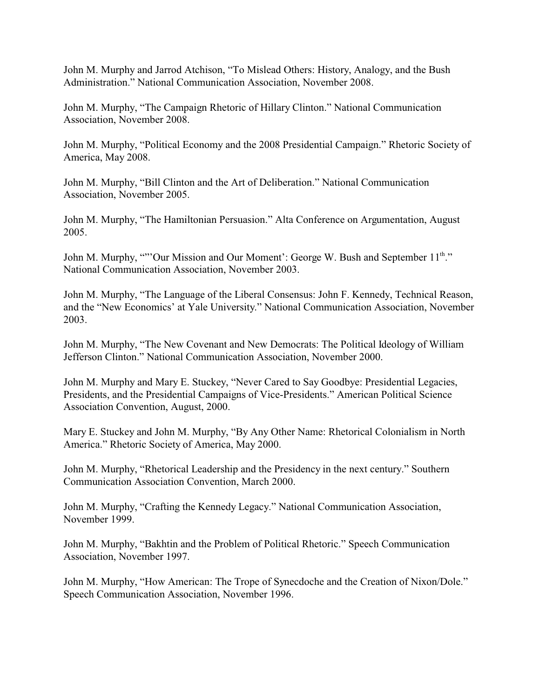John M. Murphy and Jarrod Atchison, "To Mislead Others: History, Analogy, and the Bush Administration." National Communication Association, November 2008.

John M. Murphy, "The Campaign Rhetoric of Hillary Clinton." National Communication Association, November 2008.

John M. Murphy, "Political Economy and the 2008 Presidential Campaign." Rhetoric Society of America, May 2008.

John M. Murphy, "Bill Clinton and the Art of Deliberation." National Communication Association, November 2005.

John M. Murphy, "The Hamiltonian Persuasion." Alta Conference on Argumentation, August 2005.

John M. Murphy, ""'Our Mission and Our Moment': George W. Bush and September 11<sup>th</sup>." National Communication Association, November 2003.

John M. Murphy, "The Language of the Liberal Consensus: John F. Kennedy, Technical Reason, and the "New Economics' at Yale University." National Communication Association, November 2003.

John M. Murphy, "The New Covenant and New Democrats: The Political Ideology of William Jefferson Clinton." National Communication Association, November 2000.

John M. Murphy and Mary E. Stuckey, "Never Cared to Say Goodbye: Presidential Legacies, Presidents, and the Presidential Campaigns of Vice-Presidents." American Political Science Association Convention, August, 2000.

Mary E. Stuckey and John M. Murphy, "By Any Other Name: Rhetorical Colonialism in North America." Rhetoric Society of America, May 2000.

John M. Murphy, "Rhetorical Leadership and the Presidency in the next century." Southern Communication Association Convention, March 2000.

John M. Murphy, "Crafting the Kennedy Legacy." National Communication Association, November 1999.

John M. Murphy, "Bakhtin and the Problem of Political Rhetoric." Speech Communication Association, November 1997.

John M. Murphy, "How American: The Trope of Synecdoche and the Creation of Nixon/Dole." Speech Communication Association, November 1996.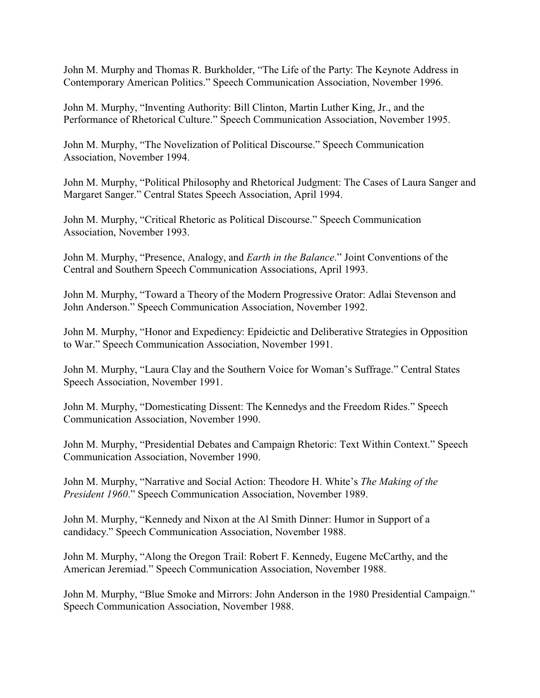John M. Murphy and Thomas R. Burkholder, "The Life of the Party: The Keynote Address in Contemporary American Politics." Speech Communication Association, November 1996.

John M. Murphy, "Inventing Authority: Bill Clinton, Martin Luther King, Jr., and the Performance of Rhetorical Culture." Speech Communication Association, November 1995.

John M. Murphy, "The Novelization of Political Discourse." Speech Communication Association, November 1994.

John M. Murphy, "Political Philosophy and Rhetorical Judgment: The Cases of Laura Sanger and Margaret Sanger." Central States Speech Association, April 1994.

John M. Murphy, "Critical Rhetoric as Political Discourse." Speech Communication Association, November 1993.

John M. Murphy, "Presence, Analogy, and *Earth in the Balance*." Joint Conventions of the Central and Southern Speech Communication Associations, April 1993.

John M. Murphy, "Toward a Theory of the Modern Progressive Orator: Adlai Stevenson and John Anderson." Speech Communication Association, November 1992.

John M. Murphy, "Honor and Expediency: Epideictic and Deliberative Strategies in Opposition to War." Speech Communication Association, November 1991.

John M. Murphy, "Laura Clay and the Southern Voice for Woman's Suffrage." Central States Speech Association, November 1991.

John M. Murphy, "Domesticating Dissent: The Kennedys and the Freedom Rides." Speech Communication Association, November 1990.

John M. Murphy, "Presidential Debates and Campaign Rhetoric: Text Within Context." Speech Communication Association, November 1990.

John M. Murphy, "Narrative and Social Action: Theodore H. White's *The Making of the President 1960*." Speech Communication Association, November 1989.

John M. Murphy, "Kennedy and Nixon at the Al Smith Dinner: Humor in Support of a candidacy." Speech Communication Association, November 1988.

John M. Murphy, "Along the Oregon Trail: Robert F. Kennedy, Eugene McCarthy, and the American Jeremiad." Speech Communication Association, November 1988.

John M. Murphy, "Blue Smoke and Mirrors: John Anderson in the 1980 Presidential Campaign." Speech Communication Association, November 1988.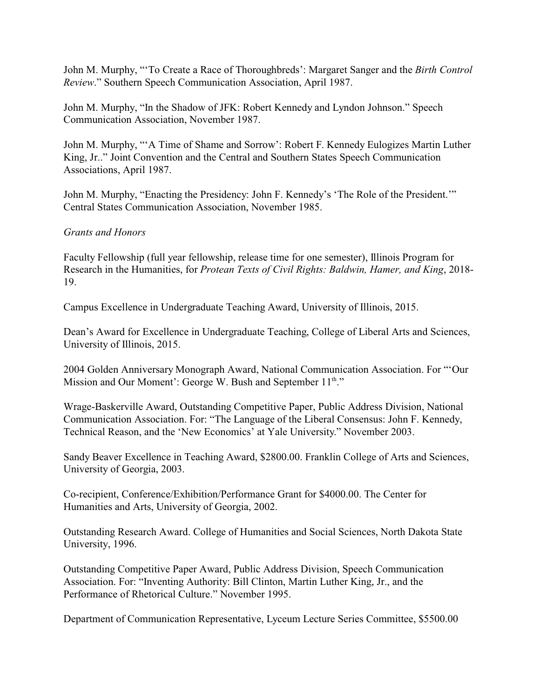John M. Murphy, "'To Create a Race of Thoroughbreds': Margaret Sanger and the *Birth Control Review*." Southern Speech Communication Association, April 1987.

John M. Murphy, "In the Shadow of JFK: Robert Kennedy and Lyndon Johnson." Speech Communication Association, November 1987.

John M. Murphy, "'A Time of Shame and Sorrow': Robert F. Kennedy Eulogizes Martin Luther King, Jr.." Joint Convention and the Central and Southern States Speech Communication Associations, April 1987.

John M. Murphy, "Enacting the Presidency: John F. Kennedy's 'The Role of the President.'" Central States Communication Association, November 1985.

### *Grants and Honors*

Faculty Fellowship (full year fellowship, release time for one semester), Illinois Program for Research in the Humanities, for *Protean Texts of Civil Rights: Baldwin, Hamer, and King*, 2018- 19.

Campus Excellence in Undergraduate Teaching Award, University of Illinois, 2015.

Dean's Award for Excellence in Undergraduate Teaching, College of Liberal Arts and Sciences, University of Illinois, 2015.

2004 Golden Anniversary Monograph Award, National Communication Association. For "'Our Mission and Our Moment': George W. Bush and September 11<sup>th</sup>."

Wrage-Baskerville Award, Outstanding Competitive Paper, Public Address Division, National Communication Association. For: "The Language of the Liberal Consensus: John F. Kennedy, Technical Reason, and the 'New Economics' at Yale University." November 2003.

Sandy Beaver Excellence in Teaching Award, \$2800.00. Franklin College of Arts and Sciences, University of Georgia, 2003.

Co-recipient, Conference/Exhibition/Performance Grant for \$4000.00. The Center for Humanities and Arts, University of Georgia, 2002.

Outstanding Research Award. College of Humanities and Social Sciences, North Dakota State University, 1996.

Outstanding Competitive Paper Award, Public Address Division, Speech Communication Association. For: "Inventing Authority: Bill Clinton, Martin Luther King, Jr., and the Performance of Rhetorical Culture." November 1995.

Department of Communication Representative, Lyceum Lecture Series Committee, \$5500.00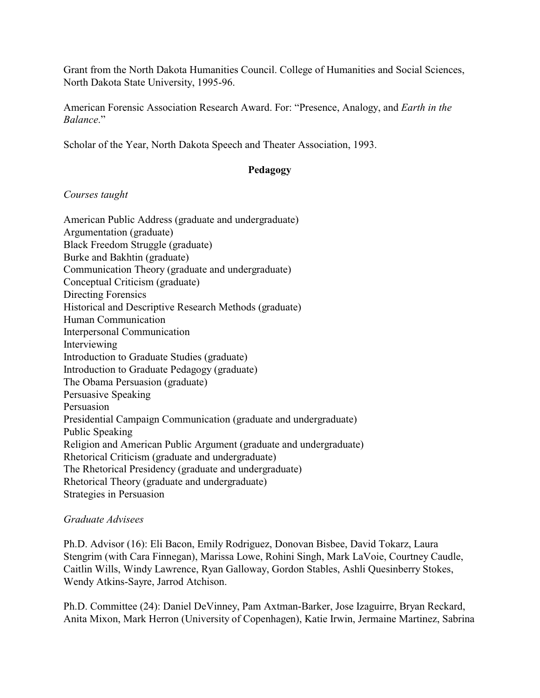Grant from the North Dakota Humanities Council. College of Humanities and Social Sciences, North Dakota State University, 1995-96.

American Forensic Association Research Award. For: "Presence, Analogy, and *Earth in the Balance*."

Scholar of the Year, North Dakota Speech and Theater Association, 1993.

# **Pedagogy**

#### *Courses taught*

| American Public Address (graduate and undergraduate)               |
|--------------------------------------------------------------------|
| Argumentation (graduate)                                           |
| Black Freedom Struggle (graduate)                                  |
| Burke and Bakhtin (graduate)                                       |
| Communication Theory (graduate and undergraduate)                  |
| Conceptual Criticism (graduate)                                    |
| Directing Forensics                                                |
| Historical and Descriptive Research Methods (graduate)             |
| Human Communication                                                |
| Interpersonal Communication                                        |
| Interviewing                                                       |
| Introduction to Graduate Studies (graduate)                        |
| Introduction to Graduate Pedagogy (graduate)                       |
| The Obama Persuasion (graduate)                                    |
| Persuasive Speaking                                                |
| Persuasion                                                         |
| Presidential Campaign Communication (graduate and undergraduate)   |
| <b>Public Speaking</b>                                             |
| Religion and American Public Argument (graduate and undergraduate) |
| Rhetorical Criticism (graduate and undergraduate)                  |
| The Rhetorical Presidency (graduate and undergraduate)             |
| Rhetorical Theory (graduate and undergraduate)                     |
| Strategies in Persuasion                                           |

#### *Graduate Advisees*

Ph.D. Advisor (16): Eli Bacon, Emily Rodriguez, Donovan Bisbee, David Tokarz, Laura Stengrim (with Cara Finnegan), Marissa Lowe, Rohini Singh, Mark LaVoie, Courtney Caudle, Caitlin Wills, Windy Lawrence, Ryan Galloway, Gordon Stables, Ashli Quesinberry Stokes, Wendy Atkins-Sayre, Jarrod Atchison.

Ph.D. Committee (24): Daniel DeVinney, Pam Axtman-Barker, Jose Izaguirre, Bryan Reckard, Anita Mixon, Mark Herron (University of Copenhagen), Katie Irwin, Jermaine Martinez, Sabrina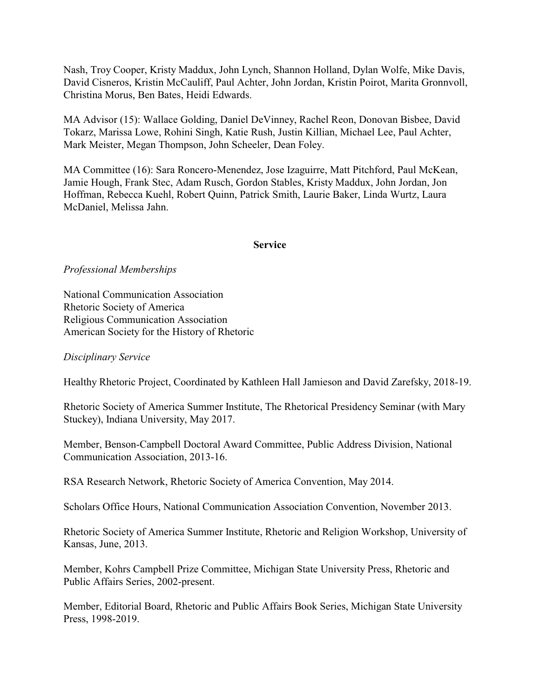Nash, Troy Cooper, Kristy Maddux, John Lynch, Shannon Holland, Dylan Wolfe, Mike Davis, David Cisneros, Kristin McCauliff, Paul Achter, John Jordan, Kristin Poirot, Marita Gronnvoll, Christina Morus, Ben Bates, Heidi Edwards.

MA Advisor (15): Wallace Golding, Daniel DeVinney, Rachel Reon, Donovan Bisbee, David Tokarz, Marissa Lowe, Rohini Singh, Katie Rush, Justin Killian, Michael Lee, Paul Achter, Mark Meister, Megan Thompson, John Scheeler, Dean Foley.

MA Committee (16): Sara Roncero-Menendez, Jose Izaguirre, Matt Pitchford, Paul McKean, Jamie Hough, Frank Stec, Adam Rusch, Gordon Stables, Kristy Maddux, John Jordan, Jon Hoffman, Rebecca Kuehl, Robert Quinn, Patrick Smith, Laurie Baker, Linda Wurtz, Laura McDaniel, Melissa Jahn.

#### **Service**

# *Professional Memberships*

National Communication Association Rhetoric Society of America Religious Communication Association American Society for the History of Rhetoric

### *Disciplinary Service*

Healthy Rhetoric Project, Coordinated by Kathleen Hall Jamieson and David Zarefsky, 2018-19.

Rhetoric Society of America Summer Institute, The Rhetorical Presidency Seminar (with Mary Stuckey), Indiana University, May 2017.

Member, Benson-Campbell Doctoral Award Committee, Public Address Division, National Communication Association, 2013-16.

RSA Research Network, Rhetoric Society of America Convention, May 2014.

Scholars Office Hours, National Communication Association Convention, November 2013.

Rhetoric Society of America Summer Institute, Rhetoric and Religion Workshop, University of Kansas, June, 2013.

Member, Kohrs Campbell Prize Committee, Michigan State University Press, Rhetoric and Public Affairs Series, 2002-present.

Member, Editorial Board, Rhetoric and Public Affairs Book Series, Michigan State University Press, 1998-2019.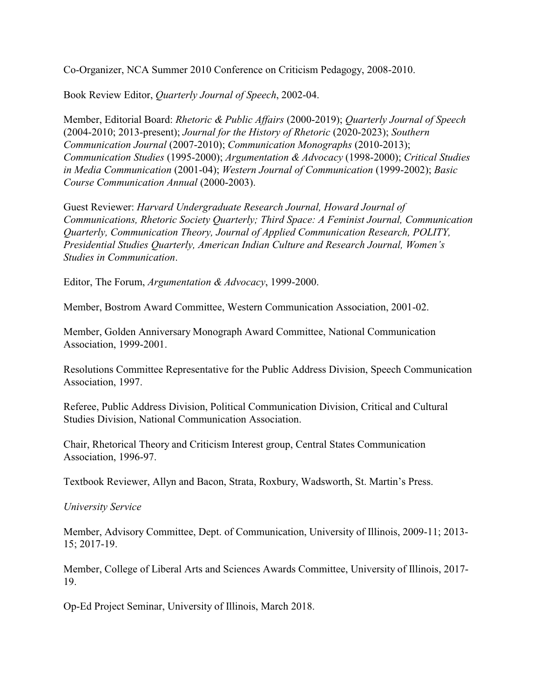Co-Organizer, NCA Summer 2010 Conference on Criticism Pedagogy, 2008-2010.

Book Review Editor, *Quarterly Journal of Speech*, 2002-04.

Member, Editorial Board: *Rhetoric & Public Affairs* (2000-2019); *Quarterly Journal of Speech* (2004-2010; 2013-present); *Journal for the History of Rhetoric* (2020-2023); *Southern Communication Journal* (2007-2010); *Communication Monographs* (2010-2013); *Communication Studies* (1995-2000); *Argumentation & Advocacy* (1998-2000); *Critical Studies in Media Communication* (2001-04); *Western Journal of Communication* (1999-2002); *Basic Course Communication Annual* (2000-2003).

Guest Reviewer: *Harvard Undergraduate Research Journal, Howard Journal of Communications, Rhetoric Society Quarterly; Third Space: A Feminist Journal, Communication Quarterly, Communication Theory, Journal of Applied Communication Research, POLITY, Presidential Studies Quarterly, American Indian Culture and Research Journal, Women's Studies in Communication*.

Editor, The Forum, *Argumentation & Advocacy*, 1999-2000.

Member, Bostrom Award Committee, Western Communication Association, 2001-02.

Member, Golden Anniversary Monograph Award Committee, National Communication Association, 1999-2001.

Resolutions Committee Representative for the Public Address Division, Speech Communication Association, 1997.

Referee, Public Address Division, Political Communication Division, Critical and Cultural Studies Division, National Communication Association.

Chair, Rhetorical Theory and Criticism Interest group, Central States Communication Association, 1996-97.

Textbook Reviewer, Allyn and Bacon, Strata, Roxbury, Wadsworth, St. Martin's Press.

*University Service*

Member, Advisory Committee, Dept. of Communication, University of Illinois, 2009-11; 2013- 15; 2017-19.

Member, College of Liberal Arts and Sciences Awards Committee, University of Illinois, 2017- 19.

Op-Ed Project Seminar, University of Illinois, March 2018.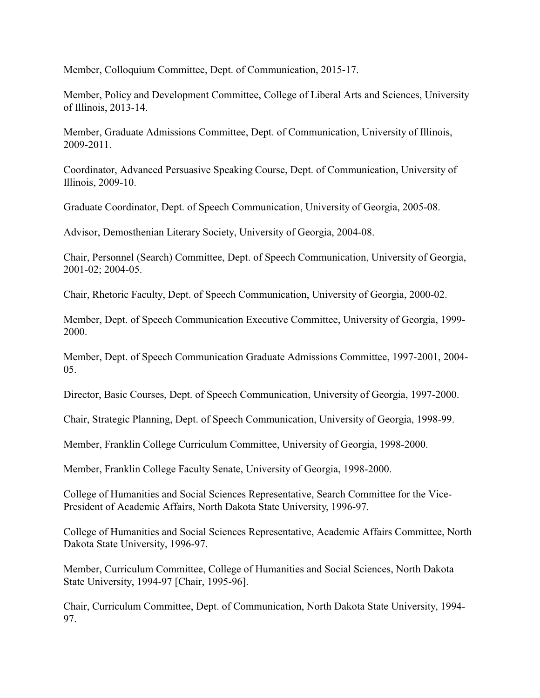Member, Colloquium Committee, Dept. of Communication, 2015-17.

Member, Policy and Development Committee, College of Liberal Arts and Sciences, University of Illinois, 2013-14.

Member, Graduate Admissions Committee, Dept. of Communication, University of Illinois, 2009-2011.

Coordinator, Advanced Persuasive Speaking Course, Dept. of Communication, University of Illinois, 2009-10.

Graduate Coordinator, Dept. of Speech Communication, University of Georgia, 2005-08.

Advisor, Demosthenian Literary Society, University of Georgia, 2004-08.

Chair, Personnel (Search) Committee, Dept. of Speech Communication, University of Georgia, 2001-02; 2004-05.

Chair, Rhetoric Faculty, Dept. of Speech Communication, University of Georgia, 2000-02.

Member, Dept. of Speech Communication Executive Committee, University of Georgia, 1999- 2000.

Member, Dept. of Speech Communication Graduate Admissions Committee, 1997-2001, 2004- 05.

Director, Basic Courses, Dept. of Speech Communication, University of Georgia, 1997-2000.

Chair, Strategic Planning, Dept. of Speech Communication, University of Georgia, 1998-99.

Member, Franklin College Curriculum Committee, University of Georgia, 1998-2000.

Member, Franklin College Faculty Senate, University of Georgia, 1998-2000.

College of Humanities and Social Sciences Representative, Search Committee for the Vice-President of Academic Affairs, North Dakota State University, 1996-97.

College of Humanities and Social Sciences Representative, Academic Affairs Committee, North Dakota State University, 1996-97.

Member, Curriculum Committee, College of Humanities and Social Sciences, North Dakota State University, 1994-97 [Chair, 1995-96].

Chair, Curriculum Committee, Dept. of Communication, North Dakota State University, 1994- 97.